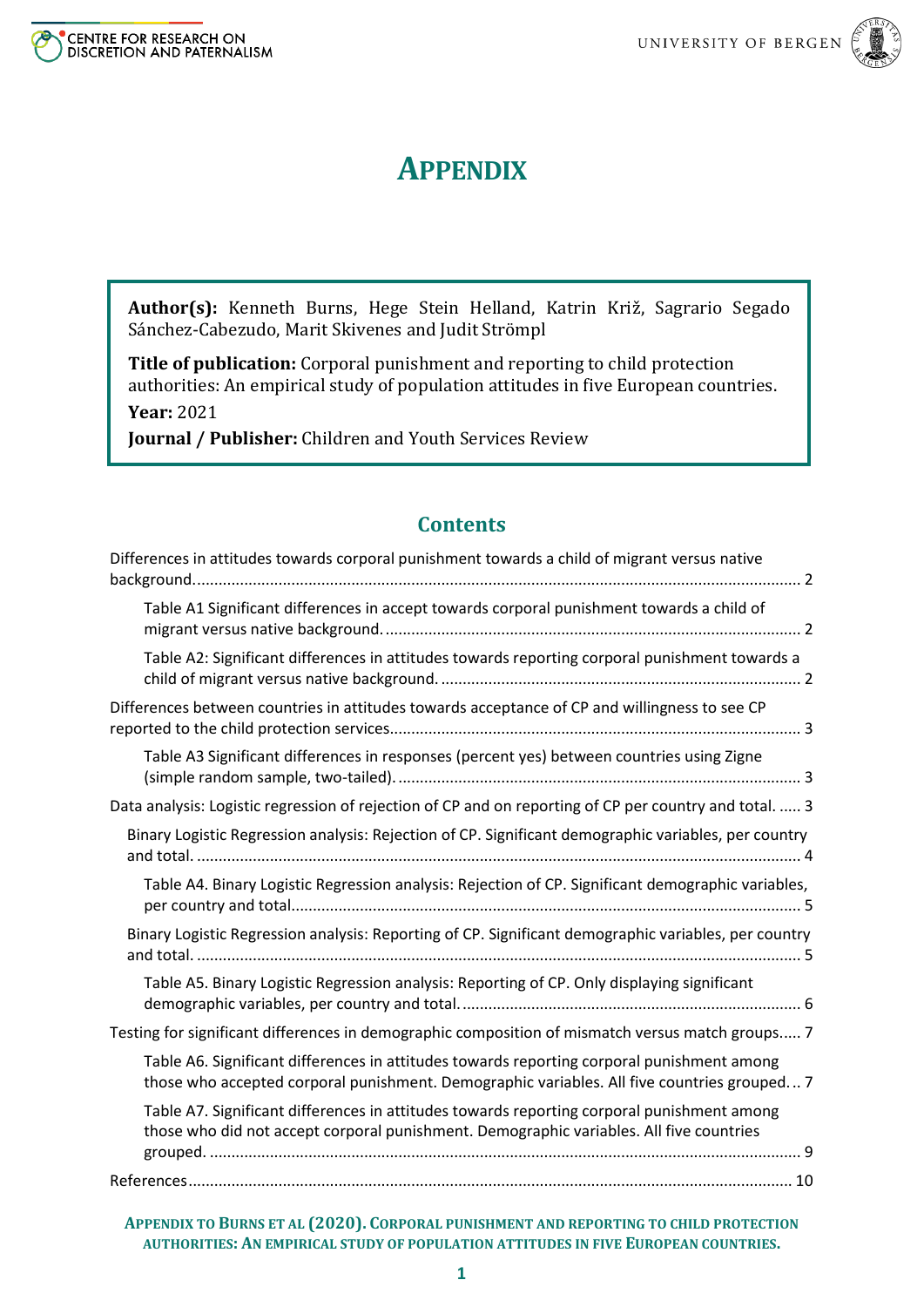

# **APPENDIX**

**Author(s):** Kenneth Burns, Hege Stein Helland, Katrin Križ, Sagrario Segado Sánchez-Cabezudo, Marit Skivenes and Judit Strömpl

**Title of publication:** Corporal punishment and reporting to child protection authorities: An empirical study of population attitudes in five European countries. **Year:** 2021

**Journal / Publisher:** Children and Youth Services Review

# **Contents**

| Differences in attitudes towards corporal punishment towards a child of migrant versus native                                                                                             |
|-------------------------------------------------------------------------------------------------------------------------------------------------------------------------------------------|
| Table A1 Significant differences in accept towards corporal punishment towards a child of                                                                                                 |
| Table A2: Significant differences in attitudes towards reporting corporal punishment towards a                                                                                            |
| Differences between countries in attitudes towards acceptance of CP and willingness to see CP                                                                                             |
| Table A3 Significant differences in responses (percent yes) between countries using Zigne                                                                                                 |
| Data analysis: Logistic regression of rejection of CP and on reporting of CP per country and total.  3                                                                                    |
| Binary Logistic Regression analysis: Rejection of CP. Significant demographic variables, per country                                                                                      |
| Table A4. Binary Logistic Regression analysis: Rejection of CP. Significant demographic variables,                                                                                        |
| Binary Logistic Regression analysis: Reporting of CP. Significant demographic variables, per country                                                                                      |
| Table A5. Binary Logistic Regression analysis: Reporting of CP. Only displaying significant                                                                                               |
| Testing for significant differences in demographic composition of mismatch versus match groups 7                                                                                          |
| Table A6. Significant differences in attitudes towards reporting corporal punishment among<br>those who accepted corporal punishment. Demographic variables. All five countries grouped 7 |
| Table A7. Significant differences in attitudes towards reporting corporal punishment among<br>those who did not accept corporal punishment. Demographic variables. All five countries     |
|                                                                                                                                                                                           |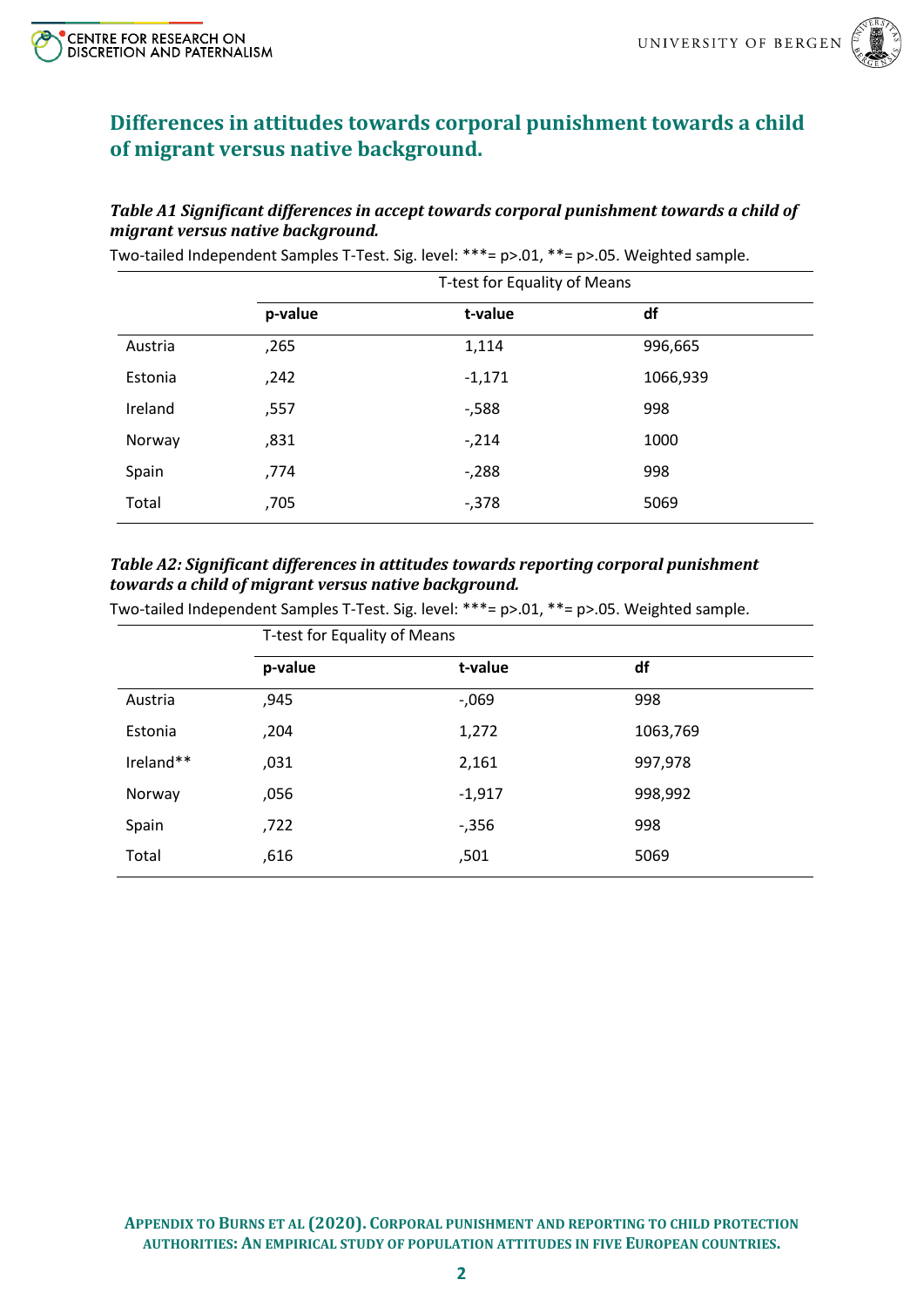

# <span id="page-1-0"></span>**Differences in attitudes towards corporal punishment towards a child of migrant versus native background.**

#### <span id="page-1-1"></span>*Table A1 Significant differences in accept towards corporal punishment towards a child of migrant versus native background.*

T-test for Equality of Means **p-value t-value df** Austria ,265 1,114 996,665 Estonia ,242 -1,171 1066,939 Ireland ,557 -,588 998 Norway 7831 ,831 ,831 ,9214 ,9214 ,000 Spain ,774 -,288 998 Total 5069, 705 -,378 5069

Two-tailed Independent Samples T-Test. Sig. level: \*\*\*= p>.01, \*\*= p>.05. Weighted sample.

#### <span id="page-1-2"></span>*Table A2: Significant differences in attitudes towards reporting corporal punishment towards a child of migrant versus native background.*

Two-tailed Independent Samples T-Test. Sig. level: \*\*\*= p>.01, \*\*= p>.05. Weighted sample.

|           | T-test for Equality of Means |          |          |  |  |  |  |
|-----------|------------------------------|----------|----------|--|--|--|--|
|           | p-value                      | t-value  | df       |  |  |  |  |
| Austria   | ,945                         | $-0.069$ | 998      |  |  |  |  |
| Estonia   | ,204                         | 1,272    | 1063,769 |  |  |  |  |
| Ireland** | ,031                         | 2,161    | 997,978  |  |  |  |  |
| Norway    | ,056                         | $-1,917$ | 998,992  |  |  |  |  |
| Spain     | ,722                         | $-0.356$ | 998      |  |  |  |  |
| Total     | ,616                         | ,501     | 5069     |  |  |  |  |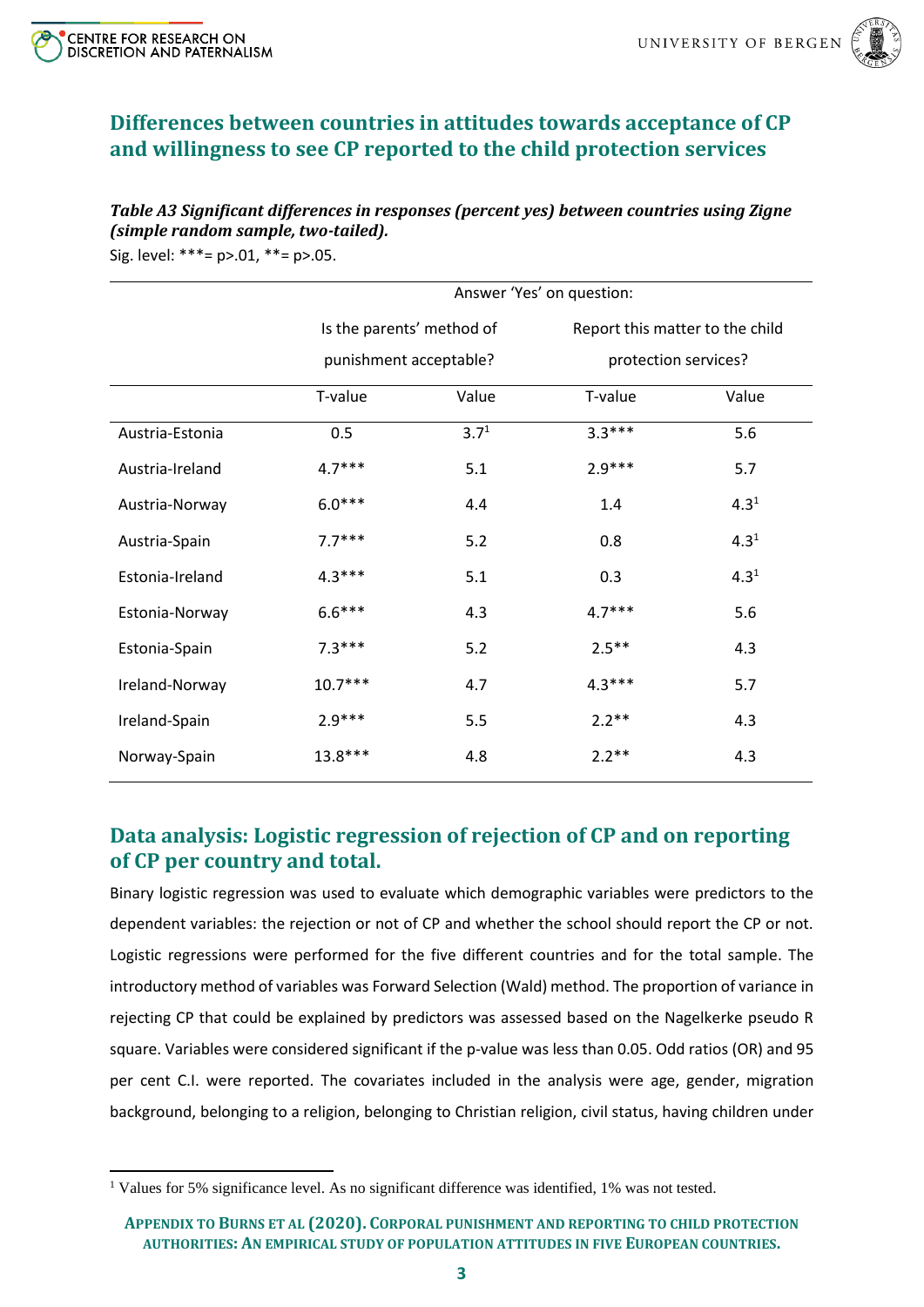



# <span id="page-2-0"></span>**Differences between countries in attitudes towards acceptance of CP and willingness to see CP reported to the child protection services**

#### <span id="page-2-1"></span>*Table A3 Significant differences in responses (percent yes) between countries using Zigne (simple random sample, two-tailed).*

Sig. level: \*\*\*= p>.01, \*\*= p>.05.

|                 |                           |           | Answer 'Yes' on question:       |           |
|-----------------|---------------------------|-----------|---------------------------------|-----------|
|                 | Is the parents' method of |           | Report this matter to the child |           |
|                 | punishment acceptable?    |           | protection services?            |           |
|                 | T-value                   | Value     | T-value                         | Value     |
| Austria-Estonia | 0.5                       | $3.7^{1}$ | $3.3***$                        | 5.6       |
| Austria-Ireland | $4.7***$                  | 5.1       | $2.9***$                        | 5.7       |
| Austria-Norway  | $6.0***$                  | 4.4       | 1.4                             | $4.3^{1}$ |
| Austria-Spain   | $7.7***$                  | 5.2       | 0.8                             | $4.3^{1}$ |
| Estonia-Ireland | $4.3***$                  | 5.1       | 0.3                             | $4.3^{1}$ |
| Estonia-Norway  | $6.6***$                  | 4.3       | $4.7***$                        | 5.6       |
| Estonia-Spain   | $7.3***$                  | 5.2       | $2.5***$                        | 4.3       |
| Ireland-Norway  | $10.7***$                 | 4.7       | $4.3***$                        | 5.7       |
| Ireland-Spain   | $2.9***$                  | 5.5       | $2.2**$                         | 4.3       |
| Norway-Spain    | $13.8***$                 | 4.8       | $2.2**$                         | 4.3       |

# <span id="page-2-2"></span>**Data analysis: Logistic regression of rejection of CP and on reporting of CP per country and total.**

Binary logistic regression was used to evaluate which demographic variables were predictors to the dependent variables: the rejection or not of CP and whether the school should report the CP or not. Logistic regressions were performed for the five different countries and for the total sample. The introductory method of variables was Forward Selection (Wald) method. The proportion of variance in rejecting CP that could be explained by predictors was assessed based on the Nagelkerke pseudo R square. Variables were considered significant if the p-value was less than 0.05. Odd ratios (OR) and 95 per cent C.I. were reported. The covariates included in the analysis were age, gender, migration background, belonging to a religion, belonging to Christian religion, civil status, having children under

<sup>&</sup>lt;sup>1</sup> Values for 5% significance level. As no significant difference was identified, 1% was not tested.

**APPENDIX TO BURNS ET AL (2020). CORPORAL PUNISHMENT AND REPORTING TO CHILD PROTECTION AUTHORITIES: AN EMPIRICAL STUDY OF POPULATION ATTITUDES IN FIVE EUROPEAN COUNTRIES.**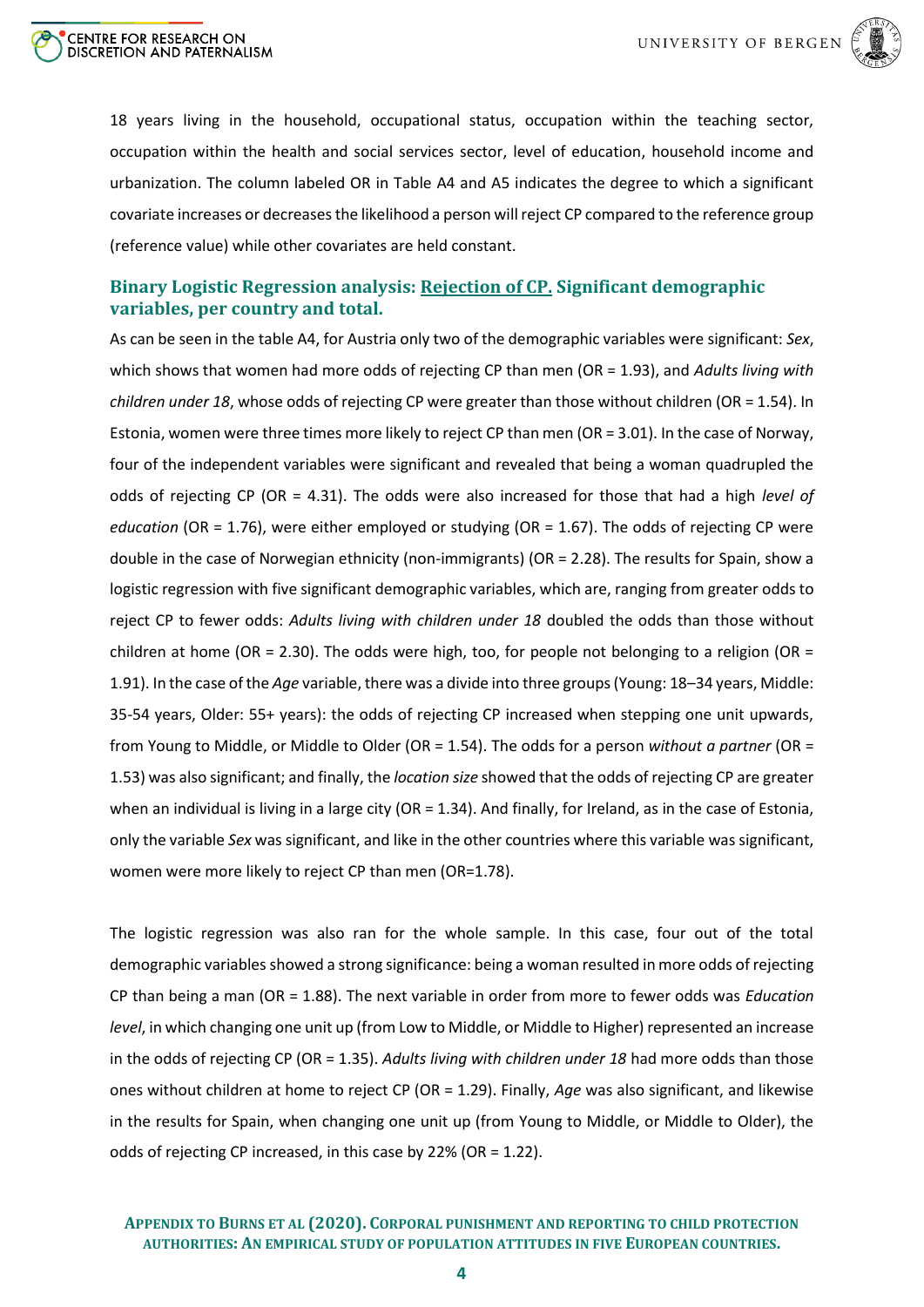



18 years living in the household, occupational status, occupation within the teaching sector, occupation within the health and social services sector, level of education, household income and urbanization. The column labeled OR in Table A4 and A5 indicates the degree to which a significant covariate increases or decreases the likelihood a person will reject CP compared to the reference group (reference value) while other covariates are held constant.

## <span id="page-3-0"></span>**Binary Logistic Regression analysis: Rejection of CP. Significant demographic variables, per country and total.**

As can be seen in the table A4, for Austria only two of the demographic variables were significant: *Sex*, which shows that women had more odds of rejecting CP than men (OR = 1.93), and *Adults living with children under 18*, whose odds of rejecting CP were greater than those without children (OR = 1.54). In Estonia, women were three times more likely to reject CP than men (OR = 3.01). In the case of Norway, four of the independent variables were significant and revealed that being a woman quadrupled the odds of rejecting CP (OR = 4.31). The odds were also increased for those that had a high *level of education* (OR = 1.76), were either employed or studying (OR = 1.67). The odds of rejecting CP were double in the case of Norwegian ethnicity (non-immigrants) (OR = 2.28). The results for Spain, show a logistic regression with five significant demographic variables, which are, ranging from greater odds to reject CP to fewer odds: *Adults living with children under 18* doubled the odds than those without children at home (OR = 2.30). The odds were high, too, for people not belonging to a religion (OR = 1.91). In the case of the *Age* variable, there was a divide into three groups (Young: 18–34 years, Middle: 35-54 years, Older: 55+ years): the odds of rejecting CP increased when stepping one unit upwards, from Young to Middle, or Middle to Older (OR = 1.54). The odds for a person *without a partner* (OR = 1.53) was also significant; and finally, the *location size* showed that the odds of rejecting CP are greater when an individual is living in a large city (OR = 1.34). And finally, for Ireland, as in the case of Estonia, only the variable *Sex* was significant, and like in the other countries where this variable was significant, women were more likely to reject CP than men (OR=1.78).

The logistic regression was also ran for the whole sample. In this case, four out of the total demographic variables showed a strong significance: being a woman resulted in more odds of rejecting CP than being a man (OR = 1.88). The next variable in order from more to fewer odds was *Education level*, in which changing one unit up (from Low to Middle, or Middle to Higher) represented an increase in the odds of rejecting CP (OR = 1.35). *Adults living with children under 18* had more odds than those ones without children at home to reject CP (OR = 1.29). Finally, *Age* was also significant, and likewise in the results for Spain, when changing one unit up (from Young to Middle, or Middle to Older), the odds of rejecting CP increased, in this case by 22% (OR = 1.22).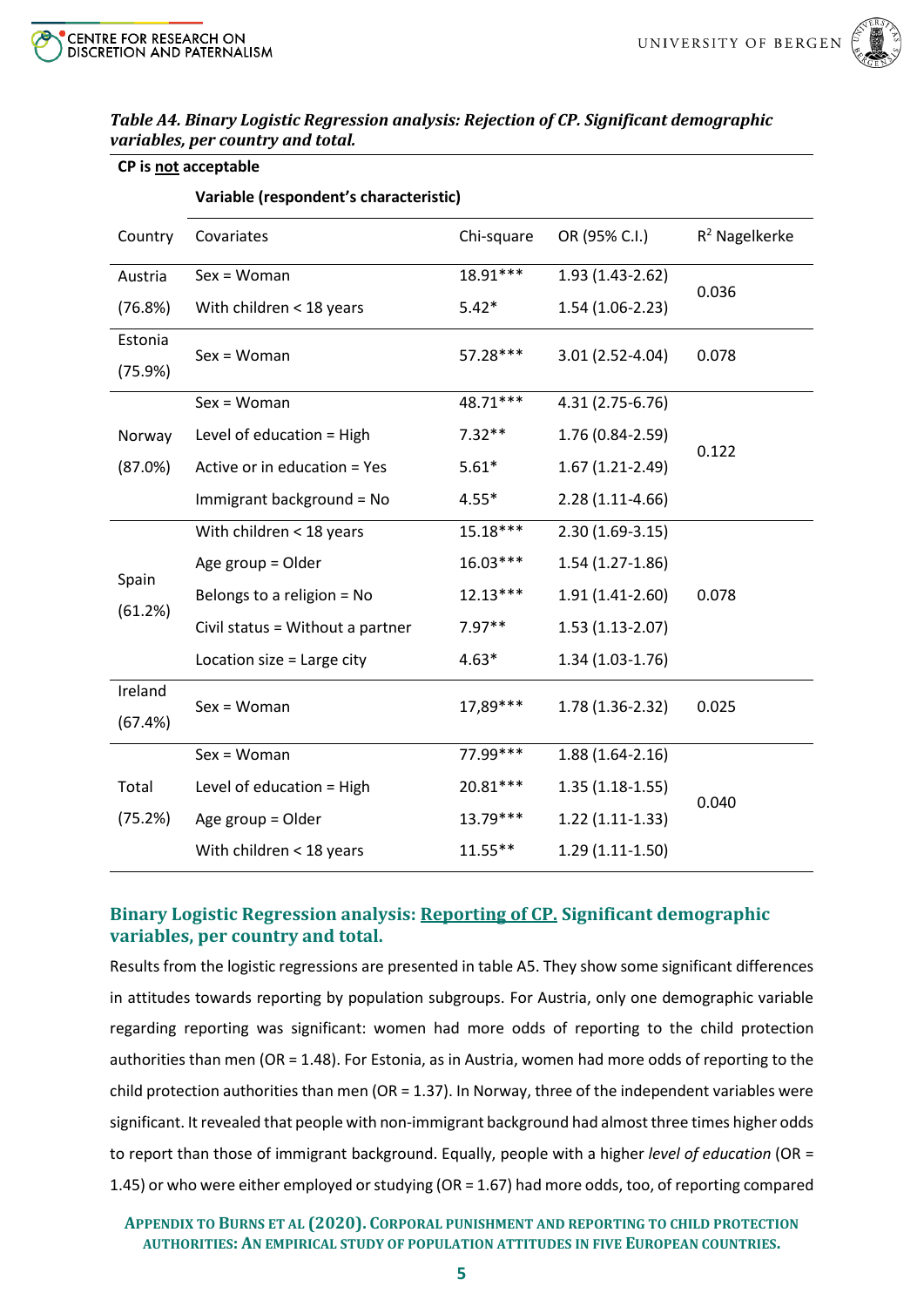**CP is not acceptable**



|                  | Variable (respondent's characteristic) |            |                   |                  |  |  |  |  |
|------------------|----------------------------------------|------------|-------------------|------------------|--|--|--|--|
| Country          | Covariates                             | Chi-square | OR (95% C.I.)     | $R^2$ Nagelkerke |  |  |  |  |
| Austria          | $Sex = Woman$                          | 18.91***   | 1.93 (1.43-2.62)  | 0.036            |  |  |  |  |
| (76.8%)          | With children < 18 years               | $5.42*$    | $1.54(1.06-2.23)$ |                  |  |  |  |  |
| Estonia          | $Sex = Woman$                          | 57.28***   | 3.01 (2.52-4.04)  | 0.078            |  |  |  |  |
| (75.9%)          |                                        |            |                   |                  |  |  |  |  |
|                  | $Sex = Woman$                          | 48.71***   | 4.31 (2.75-6.76)  |                  |  |  |  |  |
| Norway           | Level of education = High              | $7.32**$   | 1.76 (0.84-2.59)  | 0.122            |  |  |  |  |
| (87.0%)          | Active or in education = Yes           | $5.61*$    | $1.67(1.21-2.49)$ |                  |  |  |  |  |
|                  | Immigrant background = No              | $4.55*$    | $2.28(1.11-4.66)$ |                  |  |  |  |  |
|                  | With children < 18 years               | 15.18***   | $2.30(1.69-3.15)$ |                  |  |  |  |  |
|                  | Age group = Older                      | $16.03***$ | $1.54(1.27-1.86)$ |                  |  |  |  |  |
| Spain<br>(61.2%) | Belongs to a religion = No             | $12.13***$ | $1.91(1.41-2.60)$ | 0.078            |  |  |  |  |
|                  | Civil status = Without a partner       | $7.97**$   | $1.53(1.13-2.07)$ |                  |  |  |  |  |
|                  | Location size = Large city             | $4.63*$    | $1.34(1.03-1.76)$ |                  |  |  |  |  |
| Ireland          | $Sex = Woman$                          | 17,89***   | 1.78 (1.36-2.32)  | 0.025            |  |  |  |  |
| (67.4%)          |                                        |            |                   |                  |  |  |  |  |
|                  | $Sex = Woman$                          | 77.99***   | $1.88(1.64-2.16)$ |                  |  |  |  |  |
| Total            | Level of education = High              | 20.81***   | $1.35(1.18-1.55)$ | 0.040            |  |  |  |  |
| (75.2%)          | Age group = Older                      | 13.79***   | $1.22(1.11-1.33)$ |                  |  |  |  |  |
|                  | With children < 18 years               | $11.55**$  | $1.29(1.11-1.50)$ |                  |  |  |  |  |

#### <span id="page-4-0"></span>*Table A4. Binary Logistic Regression analysis: Rejection of CP. Significant demographic variables, per country and total.*

## <span id="page-4-1"></span>**Binary Logistic Regression analysis: Reporting of CP. Significant demographic variables, per country and total.**

Results from the logistic regressions are presented in table A5. They show some significant differences in attitudes towards reporting by population subgroups. For Austria, only one demographic variable regarding reporting was significant: women had more odds of reporting to the child protection authorities than men (OR = 1.48). For Estonia, as in Austria, women had more odds of reporting to the child protection authorities than men (OR = 1.37). In Norway, three of the independent variables were significant. It revealed that people with non-immigrant background had almost three times higher odds to report than those of immigrant background. Equally, people with a higher *level of education* (OR = 1.45) or who were either employed or studying (OR = 1.67) had more odds, too, of reporting compared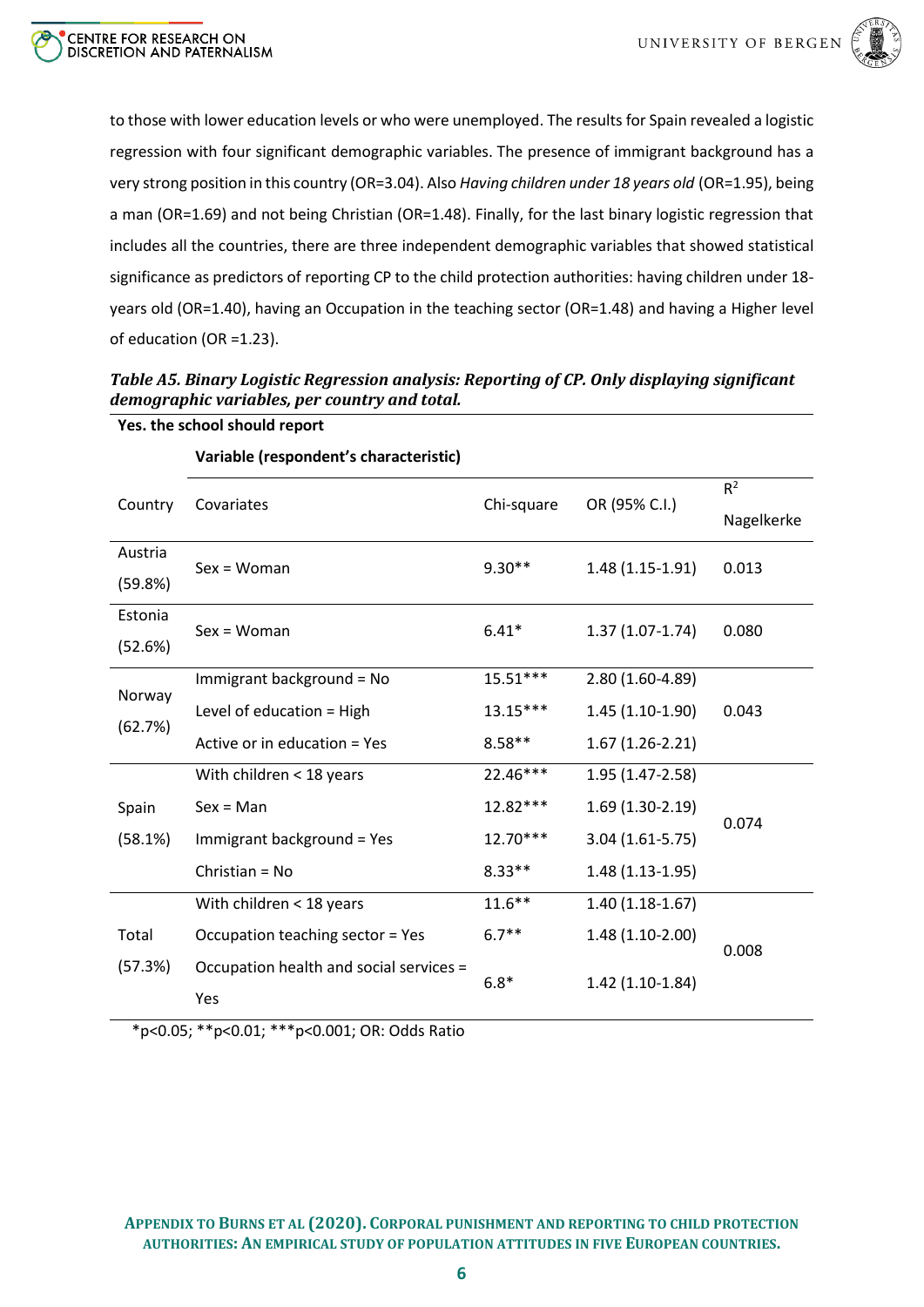

to those with lower education levels or who were unemployed. The results for Spain revealed a logistic regression with four significant demographic variables. The presence of immigrant background has a very strong position in this country (OR=3.04). Also *Having children under 18 years old* (OR=1.95), being a man (OR=1.69) and not being Christian (OR=1.48). Finally, for the last binary logistic regression that includes all the countries, there are three independent demographic variables that showed statistical significance as predictors of reporting CP to the child protection authorities: having children under 18 years old (OR=1.40), having an Occupation in the teaching sector (OR=1.48) and having a Higher level of education (OR =1.23).

<span id="page-5-0"></span>

| Table A5. Binary Logistic Regression analysis: Reporting of CP. Only displaying significant |  |
|---------------------------------------------------------------------------------------------|--|
| demographic variables, per country and total.                                               |  |

| Country | Covariates                              | Chi-square | OR (95% C.I.)     | $R^2$      |
|---------|-----------------------------------------|------------|-------------------|------------|
|         |                                         |            |                   | Nagelkerke |
| Austria | $Sex = Woman$                           | $9.30**$   | $1.48(1.15-1.91)$ | 0.013      |
| (59.8%) |                                         |            |                   |            |
| Estonia | $Sex = Woman$                           | $6.41*$    | $1.37(1.07-1.74)$ | 0.080      |
| (52.6%) |                                         |            |                   |            |
|         | Immigrant background = No               | $15.51***$ | 2.80 (1.60-4.89)  |            |
| Norway  | Level of education = High               | $13.15***$ | $1.45(1.10-1.90)$ | 0.043      |
| (62.7%) | Active or in education = Yes            | $8.58**$   | $1.67(1.26-2.21)$ |            |
|         | With children < 18 years                | 22.46***   | 1.95 (1.47-2.58)  |            |
| Spain   | $Sex = Man$                             | $12.82***$ | $1.69(1.30-2.19)$ |            |
| (58.1%) | Immigrant background = Yes              | $12.70***$ | $3.04(1.61-5.75)$ | 0.074      |
|         | Christian = $No$                        | $8.33**$   | $1.48(1.13-1.95)$ |            |
|         | With children < 18 years                | $11.6***$  | $1.40(1.18-1.67)$ |            |
| Total   | Occupation teaching sector = Yes        | $6.7**$    | 1.48 (1.10-2.00)  | 0.008      |
| (57.3%) | Occupation health and social services = | $6.8*$     | $1.42(1.10-1.84)$ |            |
|         | Yes                                     |            |                   |            |

**Variable (respondent's characteristic)**

**Yes. the school should report**

\*p<0.05; \*\*p<0.01; \*\*\*p<0.001; OR: Odds Ratio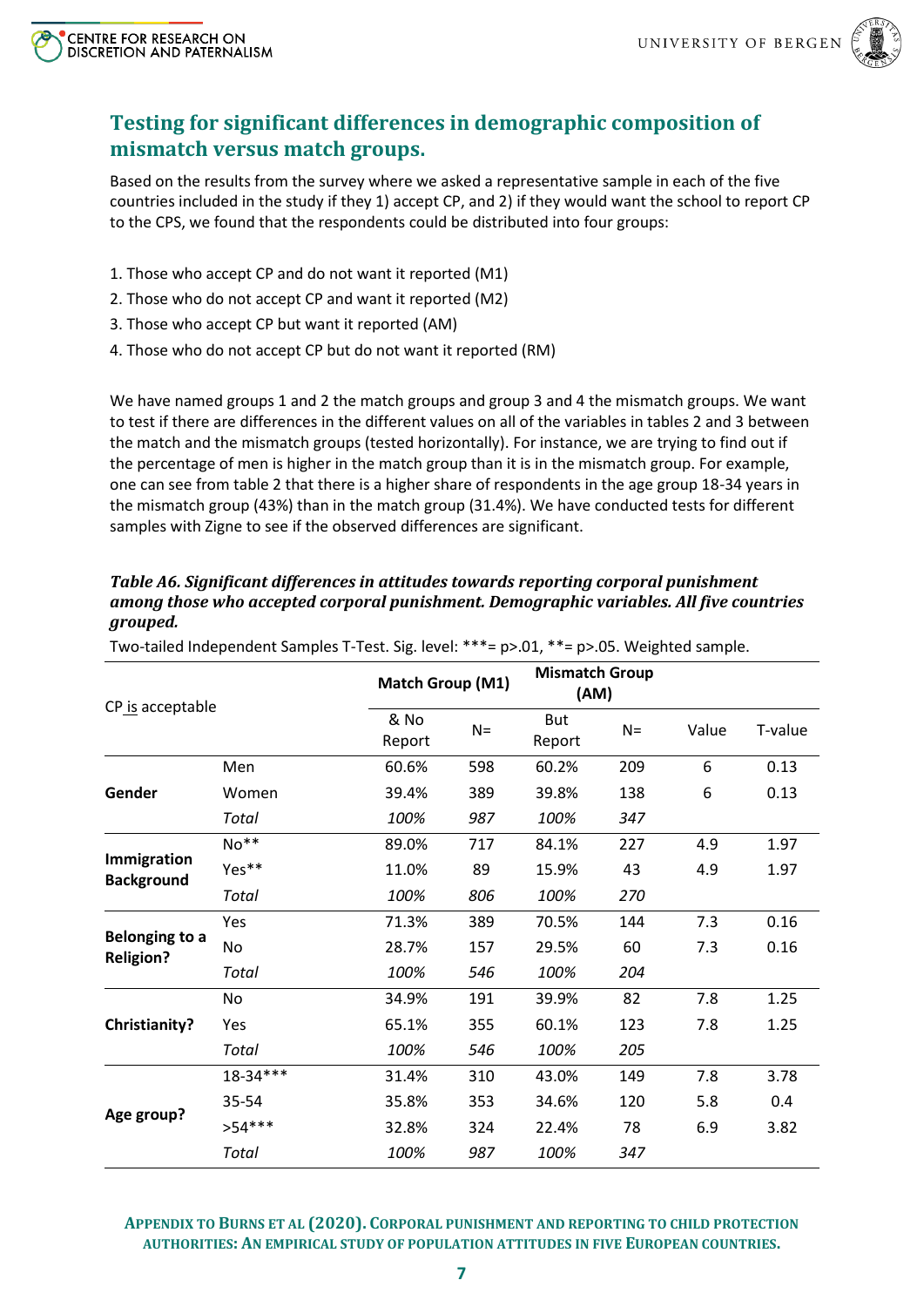



*grouped.* 

# <span id="page-6-0"></span>**Testing for significant differences in demographic composition of mismatch versus match groups.**

Based on the results from the survey where we asked a representative sample in each of the five countries included in the study if they 1) accept CP, and 2) if they would want the school to report CP to the CPS, we found that the respondents could be distributed into four groups:

- 1. Those who accept CP and do not want it reported (M1)
- 2. Those who do not accept CP and want it reported (M2)
- 3. Those who accept CP but want it reported (AM)
- 4. Those who do not accept CP but do not want it reported (RM)

We have named groups 1 and 2 the match groups and group 3 and 4 the mismatch groups. We want to test if there are differences in the different values on all of the variables in tables 2 and 3 between the match and the mismatch groups (tested horizontally). For instance, we are trying to find out if the percentage of men is higher in the match group than it is in the mismatch group. For example, one can see from table 2 that there is a higher share of respondents in the age group 18-34 years in the mismatch group (43%) than in the match group (31.4%). We have conducted tests for different samples with Zigne to see if the observed differences are significant.

|                                           |              |                | Match Group (M1) |                      | <b>Mismatch Group</b><br>(AM) |       |         |
|-------------------------------------------|--------------|----------------|------------------|----------------------|-------------------------------|-------|---------|
| CP is acceptable                          |              | & No<br>Report | $N =$            | <b>But</b><br>Report | $N =$                         | Value | T-value |
|                                           | Men          | 60.6%          | 598              | 60.2%                | 209                           | 6     | 0.13    |
| Gender                                    | Women        | 39.4%          | 389              | 39.8%                | 138                           | 6     | 0.13    |
|                                           | Total        | 100%           | 987              | 100%                 | 347                           |       |         |
|                                           | $No**$       | 89.0%          | 717              | 84.1%                | 227                           | 4.9   | 1.97    |
| Immigration<br><b>Background</b>          | Yes**        | 11.0%          | 89               | 15.9%                | 43                            | 4.9   | 1.97    |
|                                           | Total        | 100%           | 806              | 100%                 | 270                           |       |         |
|                                           | <b>Yes</b>   | 71.3%          | 389              | 70.5%                | 144                           | 7.3   | 0.16    |
| <b>Belonging to a</b><br><b>Religion?</b> | No           | 28.7%          | 157              | 29.5%                | 60                            | 7.3   | 0.16    |
|                                           | Total        | 100%           | 546              | 100%                 | 204                           |       |         |
|                                           | No           | 34.9%          | 191              | 39.9%                | 82                            | 7.8   | 1.25    |
| <b>Christianity?</b>                      | Yes          | 65.1%          | 355              | 60.1%                | 123                           | 7.8   | 1.25    |
|                                           | Total        | 100%           | 546              | 100%                 | 205                           |       |         |
|                                           | 18-34***     | 31.4%          | 310              | 43.0%                | 149                           | 7.8   | 3.78    |
|                                           | 35-54        | 35.8%          | 353              | 34.6%                | 120                           | 5.8   | 0.4     |
| Age group?                                | $>54***$     | 32.8%          | 324              | 22.4%                | 78                            | 6.9   | 3.82    |
|                                           | <b>Total</b> | 100%           | 987              | 100%                 | 347                           |       |         |

Two-tailed Independent Samples T-Test. Sig. level: \*\*\*= p>.01, \*\*= p>.05. Weighted sample.

<span id="page-6-1"></span>*Table A6. Significant differences in attitudes towards reporting corporal punishment among those who accepted corporal punishment. Demographic variables. All five countries*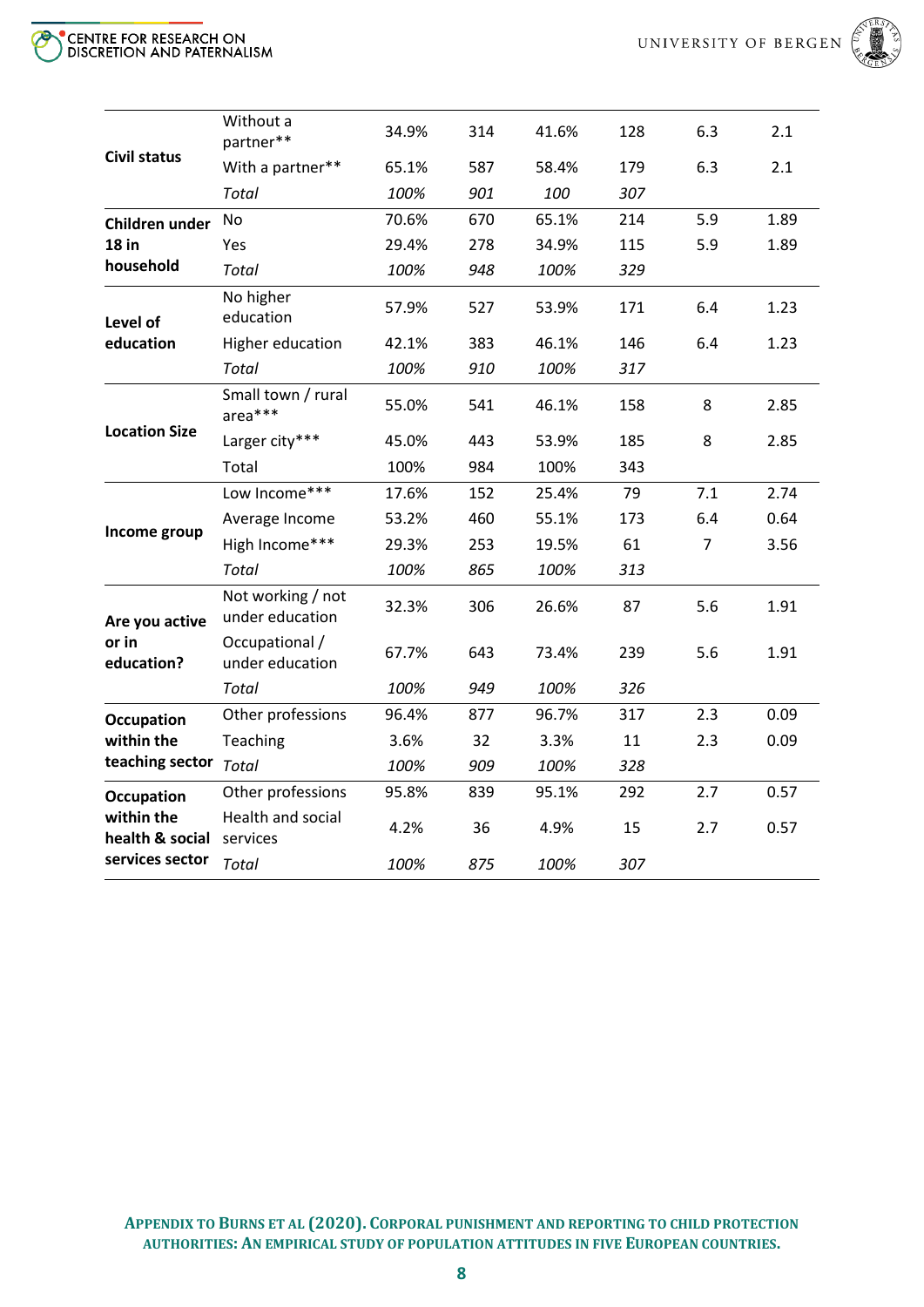

| CENTRE FOR RESEARCH ON DISCRETION AND PATERNALISM |
|---------------------------------------------------|
|---------------------------------------------------|

| With a partner**<br>587<br>58.4%<br>179<br>6.3<br>2.1<br>65.1%<br><b>Total</b><br>100%<br>901<br>100<br>307<br>70.6%<br>5.9<br>670<br>65.1%<br>214<br>1.89<br>No<br>Children under<br><b>18 in</b><br>29.4%<br>278<br>34.9%<br>115<br>5.9<br>1.89<br>Yes<br>household<br>Total<br>100%<br>948<br>100%<br>329<br>No higher<br>57.9%<br>527<br>53.9%<br>6.4<br>171<br>1.23<br>education<br>Level of<br>education<br>383<br>146<br>6.4<br>1.23<br>Higher education<br>42.1%<br>46.1%<br>Total<br>100%<br>910<br>100%<br>317<br>Small town / rural<br>541<br>8<br>55.0%<br>46.1%<br>158<br>2.85<br>area***<br><b>Location Size</b><br>Larger city***<br>185<br>45.0%<br>443<br>53.9%<br>8<br>2.85<br>Total<br>100%<br>984<br>100%<br>343<br>Low Income***<br>17.6%<br>79<br>7.1<br>2.74<br>152<br>25.4%<br>460<br>6.4<br>Average Income<br>53.2%<br>55.1%<br>173<br>0.64<br>Income group<br>High Income***<br>29.3%<br>253<br>19.5%<br>61<br>3.56<br>7<br><b>Total</b><br>100%<br>865<br>100%<br>313<br>Not working / not<br>306<br>5.6<br>32.3%<br>26.6%<br>87<br>1.91<br>under education<br>Are you active<br>or in<br>Occupational /<br>5.6<br>1.91<br>67.7%<br>643<br>73.4%<br>239<br>education?<br>under education<br>Total<br>100%<br>949<br>100%<br>326<br>0.09<br>Other professions<br>96.4%<br>877<br>96.7%<br>317<br>2.3<br><b>Occupation</b><br>within the<br>Teaching<br>3.6%<br>32<br>3.3%<br>11<br>2.3<br>0.09<br>teaching sector<br>Total<br>909<br>100%<br>100%<br>328<br>2.7<br>Other professions<br>95.8%<br>839<br>95.1%<br>292<br>0.57<br><b>Occupation</b><br>within the<br>Health and social<br>0.57<br>4.2%<br>36<br>4.9%<br>15<br>2.7<br>health & social<br>services<br>services sector<br>Total<br>100%<br>875<br>100%<br>307 |                     | Without a<br>partner** | 34.9% | 314 | 41.6% | 128 | 6.3 | 2.1 |
|----------------------------------------------------------------------------------------------------------------------------------------------------------------------------------------------------------------------------------------------------------------------------------------------------------------------------------------------------------------------------------------------------------------------------------------------------------------------------------------------------------------------------------------------------------------------------------------------------------------------------------------------------------------------------------------------------------------------------------------------------------------------------------------------------------------------------------------------------------------------------------------------------------------------------------------------------------------------------------------------------------------------------------------------------------------------------------------------------------------------------------------------------------------------------------------------------------------------------------------------------------------------------------------------------------------------------------------------------------------------------------------------------------------------------------------------------------------------------------------------------------------------------------------------------------------------------------------------------------------------------------------------------------------------------------------------------------------------------------------------------|---------------------|------------------------|-------|-----|-------|-----|-----|-----|
|                                                                                                                                                                                                                                                                                                                                                                                                                                                                                                                                                                                                                                                                                                                                                                                                                                                                                                                                                                                                                                                                                                                                                                                                                                                                                                                                                                                                                                                                                                                                                                                                                                                                                                                                                    | <b>Civil status</b> |                        |       |     |       |     |     |     |
|                                                                                                                                                                                                                                                                                                                                                                                                                                                                                                                                                                                                                                                                                                                                                                                                                                                                                                                                                                                                                                                                                                                                                                                                                                                                                                                                                                                                                                                                                                                                                                                                                                                                                                                                                    |                     |                        |       |     |       |     |     |     |
|                                                                                                                                                                                                                                                                                                                                                                                                                                                                                                                                                                                                                                                                                                                                                                                                                                                                                                                                                                                                                                                                                                                                                                                                                                                                                                                                                                                                                                                                                                                                                                                                                                                                                                                                                    |                     |                        |       |     |       |     |     |     |
|                                                                                                                                                                                                                                                                                                                                                                                                                                                                                                                                                                                                                                                                                                                                                                                                                                                                                                                                                                                                                                                                                                                                                                                                                                                                                                                                                                                                                                                                                                                                                                                                                                                                                                                                                    |                     |                        |       |     |       |     |     |     |
|                                                                                                                                                                                                                                                                                                                                                                                                                                                                                                                                                                                                                                                                                                                                                                                                                                                                                                                                                                                                                                                                                                                                                                                                                                                                                                                                                                                                                                                                                                                                                                                                                                                                                                                                                    |                     |                        |       |     |       |     |     |     |
|                                                                                                                                                                                                                                                                                                                                                                                                                                                                                                                                                                                                                                                                                                                                                                                                                                                                                                                                                                                                                                                                                                                                                                                                                                                                                                                                                                                                                                                                                                                                                                                                                                                                                                                                                    |                     |                        |       |     |       |     |     |     |
|                                                                                                                                                                                                                                                                                                                                                                                                                                                                                                                                                                                                                                                                                                                                                                                                                                                                                                                                                                                                                                                                                                                                                                                                                                                                                                                                                                                                                                                                                                                                                                                                                                                                                                                                                    |                     |                        |       |     |       |     |     |     |
|                                                                                                                                                                                                                                                                                                                                                                                                                                                                                                                                                                                                                                                                                                                                                                                                                                                                                                                                                                                                                                                                                                                                                                                                                                                                                                                                                                                                                                                                                                                                                                                                                                                                                                                                                    |                     |                        |       |     |       |     |     |     |
|                                                                                                                                                                                                                                                                                                                                                                                                                                                                                                                                                                                                                                                                                                                                                                                                                                                                                                                                                                                                                                                                                                                                                                                                                                                                                                                                                                                                                                                                                                                                                                                                                                                                                                                                                    |                     |                        |       |     |       |     |     |     |
|                                                                                                                                                                                                                                                                                                                                                                                                                                                                                                                                                                                                                                                                                                                                                                                                                                                                                                                                                                                                                                                                                                                                                                                                                                                                                                                                                                                                                                                                                                                                                                                                                                                                                                                                                    |                     |                        |       |     |       |     |     |     |
|                                                                                                                                                                                                                                                                                                                                                                                                                                                                                                                                                                                                                                                                                                                                                                                                                                                                                                                                                                                                                                                                                                                                                                                                                                                                                                                                                                                                                                                                                                                                                                                                                                                                                                                                                    |                     |                        |       |     |       |     |     |     |
|                                                                                                                                                                                                                                                                                                                                                                                                                                                                                                                                                                                                                                                                                                                                                                                                                                                                                                                                                                                                                                                                                                                                                                                                                                                                                                                                                                                                                                                                                                                                                                                                                                                                                                                                                    |                     |                        |       |     |       |     |     |     |
|                                                                                                                                                                                                                                                                                                                                                                                                                                                                                                                                                                                                                                                                                                                                                                                                                                                                                                                                                                                                                                                                                                                                                                                                                                                                                                                                                                                                                                                                                                                                                                                                                                                                                                                                                    |                     |                        |       |     |       |     |     |     |
|                                                                                                                                                                                                                                                                                                                                                                                                                                                                                                                                                                                                                                                                                                                                                                                                                                                                                                                                                                                                                                                                                                                                                                                                                                                                                                                                                                                                                                                                                                                                                                                                                                                                                                                                                    |                     |                        |       |     |       |     |     |     |
|                                                                                                                                                                                                                                                                                                                                                                                                                                                                                                                                                                                                                                                                                                                                                                                                                                                                                                                                                                                                                                                                                                                                                                                                                                                                                                                                                                                                                                                                                                                                                                                                                                                                                                                                                    |                     |                        |       |     |       |     |     |     |
|                                                                                                                                                                                                                                                                                                                                                                                                                                                                                                                                                                                                                                                                                                                                                                                                                                                                                                                                                                                                                                                                                                                                                                                                                                                                                                                                                                                                                                                                                                                                                                                                                                                                                                                                                    |                     |                        |       |     |       |     |     |     |
|                                                                                                                                                                                                                                                                                                                                                                                                                                                                                                                                                                                                                                                                                                                                                                                                                                                                                                                                                                                                                                                                                                                                                                                                                                                                                                                                                                                                                                                                                                                                                                                                                                                                                                                                                    |                     |                        |       |     |       |     |     |     |
|                                                                                                                                                                                                                                                                                                                                                                                                                                                                                                                                                                                                                                                                                                                                                                                                                                                                                                                                                                                                                                                                                                                                                                                                                                                                                                                                                                                                                                                                                                                                                                                                                                                                                                                                                    |                     |                        |       |     |       |     |     |     |
|                                                                                                                                                                                                                                                                                                                                                                                                                                                                                                                                                                                                                                                                                                                                                                                                                                                                                                                                                                                                                                                                                                                                                                                                                                                                                                                                                                                                                                                                                                                                                                                                                                                                                                                                                    |                     |                        |       |     |       |     |     |     |
|                                                                                                                                                                                                                                                                                                                                                                                                                                                                                                                                                                                                                                                                                                                                                                                                                                                                                                                                                                                                                                                                                                                                                                                                                                                                                                                                                                                                                                                                                                                                                                                                                                                                                                                                                    |                     |                        |       |     |       |     |     |     |
|                                                                                                                                                                                                                                                                                                                                                                                                                                                                                                                                                                                                                                                                                                                                                                                                                                                                                                                                                                                                                                                                                                                                                                                                                                                                                                                                                                                                                                                                                                                                                                                                                                                                                                                                                    |                     |                        |       |     |       |     |     |     |
|                                                                                                                                                                                                                                                                                                                                                                                                                                                                                                                                                                                                                                                                                                                                                                                                                                                                                                                                                                                                                                                                                                                                                                                                                                                                                                                                                                                                                                                                                                                                                                                                                                                                                                                                                    |                     |                        |       |     |       |     |     |     |
|                                                                                                                                                                                                                                                                                                                                                                                                                                                                                                                                                                                                                                                                                                                                                                                                                                                                                                                                                                                                                                                                                                                                                                                                                                                                                                                                                                                                                                                                                                                                                                                                                                                                                                                                                    |                     |                        |       |     |       |     |     |     |
|                                                                                                                                                                                                                                                                                                                                                                                                                                                                                                                                                                                                                                                                                                                                                                                                                                                                                                                                                                                                                                                                                                                                                                                                                                                                                                                                                                                                                                                                                                                                                                                                                                                                                                                                                    |                     |                        |       |     |       |     |     |     |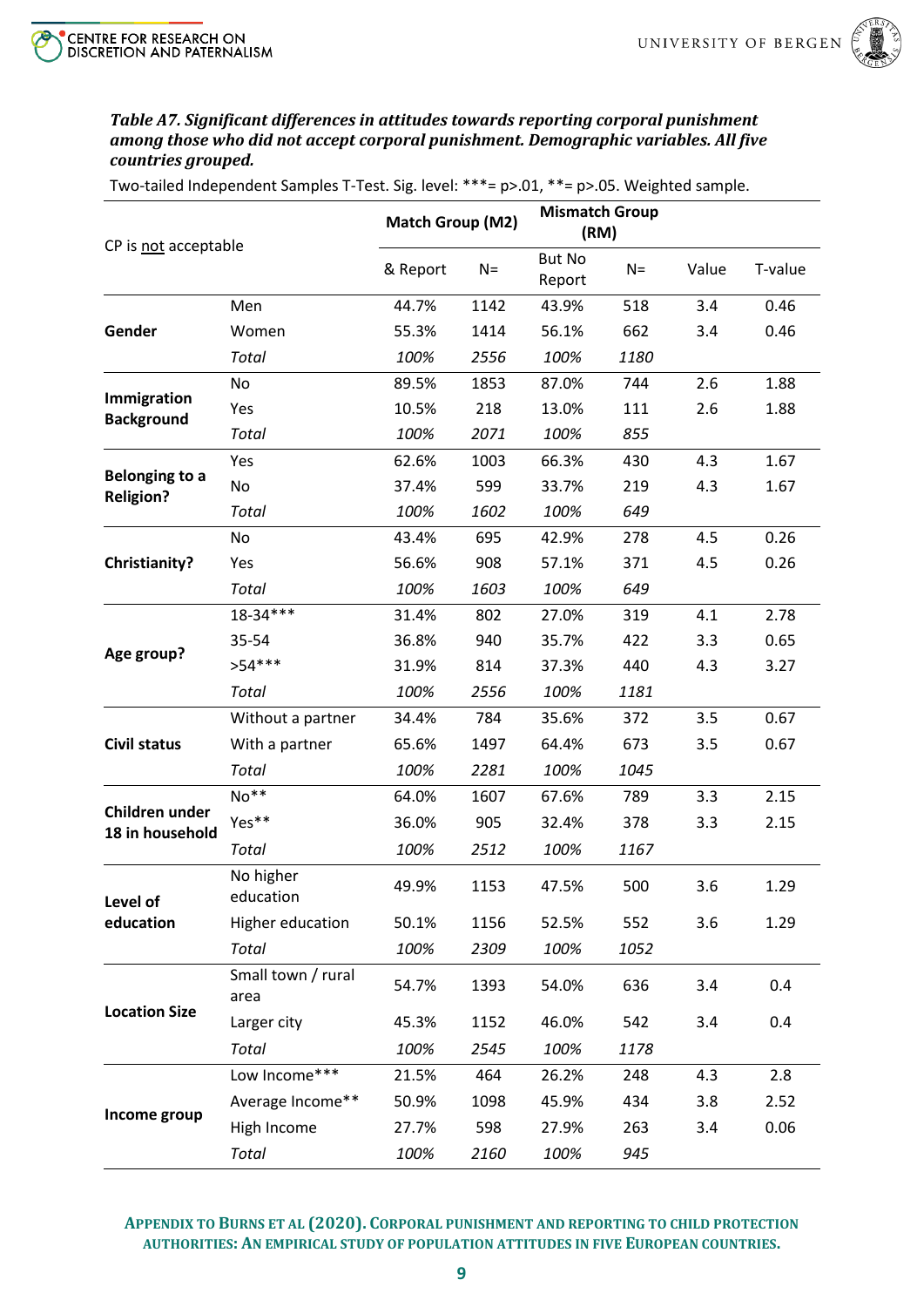

## <span id="page-8-0"></span>*Table A7. Significant differences in attitudes towards reporting corporal punishment among those who did not accept corporal punishment. Demographic variables. All five countries grouped.*

Two-tailed Independent Samples T-Test. Sig. level: \*\*\*= p>.01, \*\*= p>.05. Weighted sample.

|                                           |                            | Match Group (M2) |       | <b>Mismatch Group</b><br>(RM) |       |       |         |
|-------------------------------------------|----------------------------|------------------|-------|-------------------------------|-------|-------|---------|
| CP is not acceptable                      |                            | & Report         | $N =$ | <b>But No</b><br>Report       | $N =$ | Value | T-value |
|                                           | Men                        | 44.7%            | 1142  | 43.9%                         | 518   | 3.4   | 0.46    |
| Gender                                    | Women                      | 55.3%            | 1414  | 56.1%                         | 662   | 3.4   | 0.46    |
|                                           | <b>Total</b>               | 100%             | 2556  | 100%                          | 1180  |       |         |
|                                           | No                         | 89.5%            | 1853  | 87.0%                         | 744   | 2.6   | 1.88    |
| Immigration                               | Yes                        | 10.5%            | 218   | 13.0%                         | 111   | 2.6   | 1.88    |
| <b>Background</b>                         | Total                      | 100%             | 2071  | 100%                          | 855   |       |         |
|                                           | Yes                        | 62.6%            | 1003  | 66.3%                         | 430   | 4.3   | 1.67    |
| <b>Belonging to a</b><br><b>Religion?</b> | No                         | 37.4%            | 599   | 33.7%                         | 219   | 4.3   | 1.67    |
|                                           | <b>Total</b>               | 100%             | 1602  | 100%                          | 649   |       |         |
|                                           | No                         | 43.4%            | 695   | 42.9%                         | 278   | 4.5   | 0.26    |
| <b>Christianity?</b>                      | Yes                        | 56.6%            | 908   | 57.1%                         | 371   | 4.5   | 0.26    |
|                                           | <b>Total</b>               | 100%             | 1603  | 100%                          | 649   |       |         |
|                                           | 18-34***                   | 31.4%            | 802   | 27.0%                         | 319   | 4.1   | 2.78    |
|                                           | 35-54                      | 36.8%            | 940   | 35.7%                         | 422   | 3.3   | 0.65    |
| Age group?                                | $>54***$                   | 31.9%            | 814   | 37.3%                         | 440   | 4.3   | 3.27    |
|                                           | Total                      | 100%             | 2556  | 100%                          | 1181  |       |         |
|                                           | Without a partner          | 34.4%            | 784   | 35.6%                         | 372   | 3.5   | 0.67    |
| <b>Civil status</b>                       | With a partner             | 65.6%            | 1497  | 64.4%                         | 673   | 3.5   | 0.67    |
|                                           | Total                      | 100%             | 2281  | 100%                          | 1045  |       |         |
|                                           | No**                       | 64.0%            | 1607  | 67.6%                         | 789   | 3.3   | 2.15    |
| Children under                            | Yes**                      | 36.0%            | 905   | 32.4%                         | 378   | 3.3   | 2.15    |
| 18 in household                           | Total                      | 100%             | 2512  | 100%                          | 1167  |       |         |
| Level of                                  | No higher<br>education     | 49.9%            | 1153  | 47.5%                         | 500   | 3.6   | 1.29    |
| education                                 | Higher education           | 50.1%            | 1156  | 52.5%                         | 552   | 3.6   | 1.29    |
|                                           | Total                      | 100%             | 2309  | 100%                          | 1052  |       |         |
|                                           | Small town / rural<br>area | 54.7%            | 1393  | 54.0%                         | 636   | 3.4   | 0.4     |
| <b>Location Size</b>                      | Larger city                | 45.3%            | 1152  | 46.0%                         | 542   | 3.4   | 0.4     |
|                                           | Total                      | 100%             | 2545  | 100%                          | 1178  |       |         |
|                                           | Low Income***              | 21.5%            | 464   | 26.2%                         | 248   | 4.3   | 2.8     |
|                                           | Average Income**           | 50.9%            | 1098  | 45.9%                         | 434   | 3.8   | 2.52    |
| Income group                              | High Income                | 27.7%            | 598   | 27.9%                         | 263   | 3.4   | 0.06    |
|                                           | Total                      | 100%             | 2160  | 100%                          | 945   |       |         |